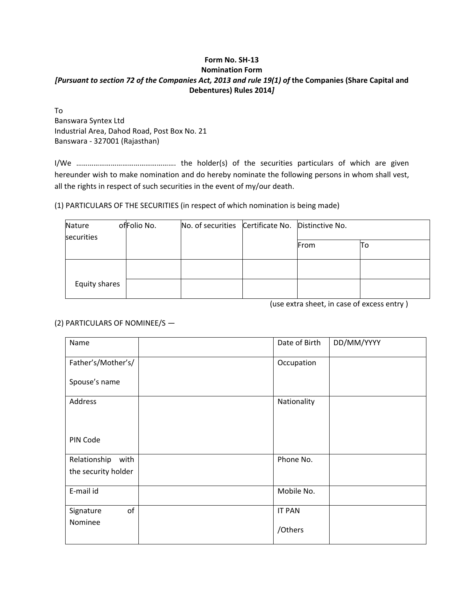## **Form No. SH‐13 Nomination Form** [Pursuant to section 72 of the Companies Act, 2013 and rule 19(1) of the Companies (Share Capital and **Debentures) Rules 2014***]*

To Banswara Syntex Ltd Industrial Area, Dahod Road, Post Box No. 21 Banswara ‐ 327001 (Rajasthan)

I/We ……………………………………………. the holder(s) of the securities particulars of which are given hereunder wish to make nomination and do hereby nominate the following persons in whom shall vest, all the rights in respect of such securities in the event of my/our death.

(1) PARTICULARS OF THE SECURITIES (in respect of which nomination is being made)

| Nature        | ofFolio No. | No. of securities Certificate No. Distinctive No. |      |    |
|---------------|-------------|---------------------------------------------------|------|----|
| securities    |             |                                                   | From | 10 |
|               |             |                                                   |      |    |
|               |             |                                                   |      |    |
| Equity shares |             |                                                   |      |    |

(use extra sheet, in case of excess entry )

## (2) PARTICULARS OF NOMINEE/S —

| Name                 | Date of Birth | DD/MM/YYYY |
|----------------------|---------------|------------|
| Father's/Mother's/   | Occupation    |            |
| Spouse's name        |               |            |
| Address              | Nationality   |            |
|                      |               |            |
| PIN Code             |               |            |
| Relationship<br>with | Phone No.     |            |
| the security holder  |               |            |
| E-mail id            | Mobile No.    |            |
| of<br>Signature      | <b>IT PAN</b> |            |
| Nominee              | /Others       |            |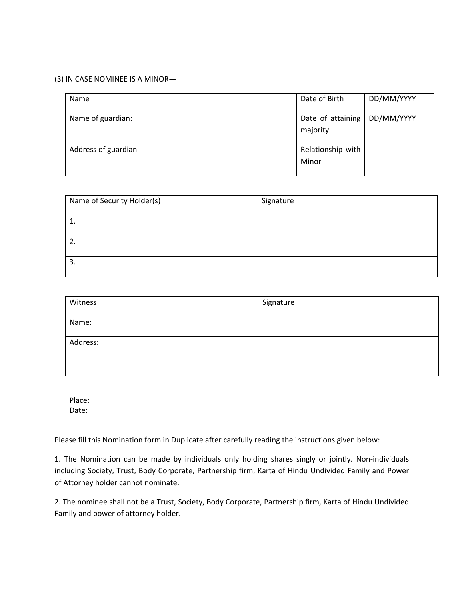## (3) IN CASE NOMINEE IS A MINOR—

| Name                | Date of Birth                 | DD/MM/YYYY |
|---------------------|-------------------------------|------------|
| Name of guardian:   | Date of attaining<br>majority | DD/MM/YYYY |
| Address of guardian | Relationship with<br>Minor    |            |

| Name of Security Holder(s) | Signature |
|----------------------------|-----------|
|                            |           |
| 2.                         |           |
| 3.                         |           |

| Witness  | Signature |
|----------|-----------|
| Name:    |           |
| Address: |           |
|          |           |

Place: Date:

Please fill this Nomination form in Duplicate after carefully reading the instructions given below:

1. The Nomination can be made by individuals only holding shares singly or jointly. Non‐individuals including Society, Trust, Body Corporate, Partnership firm, Karta of Hindu Undivided Family and Power of Attorney holder cannot nominate.

2. The nominee shall not be a Trust, Society, Body Corporate, Partnership firm, Karta of Hindu Undivided Family and power of attorney holder.